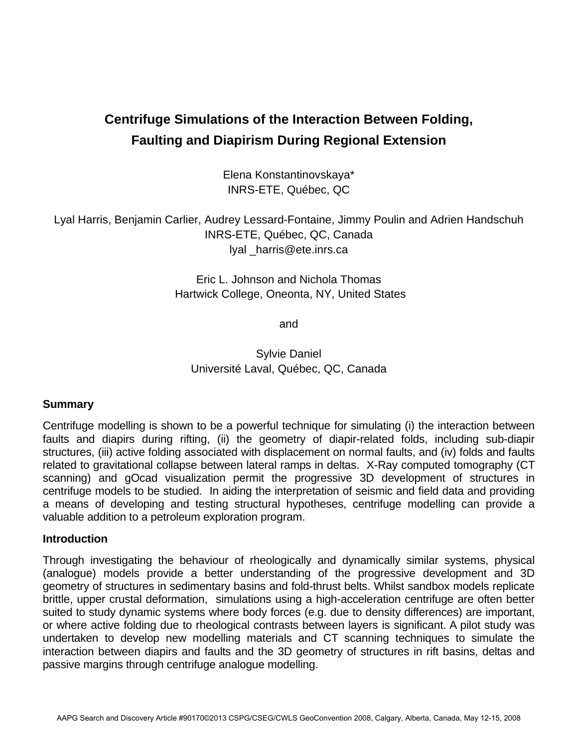# **Centrifuge Simulations of the Interaction Between Folding, Faulting and Diapirism During Regional Extension**

Elena Konstantinovskaya\* INRS-ETE, Québec, QC

Lyal Harris, Benjamin Carlier, Audrey Lessard-Fontaine, Jimmy Poulin and Adrien Handschuh INRS-ETE, Québec, QC, Canada lyal \_harris@ete.inrs.ca

> Eric L. Johnson and Nichola Thomas Hartwick College, Oneonta, NY, United States

> > and

Sylvie Daniel Université Laval, Québec, QC, Canada

## **Summary**

Centrifuge modelling is shown to be a powerful technique for simulating (i) the interaction between faults and diapirs during rifting, (ii) the geometry of diapir-related folds, including sub-diapir structures, (iii) active folding associated with displacement on normal faults, and (iv) folds and faults related to gravitational collapse between lateral ramps in deltas. X-Ray computed tomography (CT scanning) and gOcad visualization permit the progressive 3D development of structures in centrifuge models to be studied. In aiding the interpretation of seismic and field data and providing a means of developing and testing structural hypotheses, centrifuge modelling can provide a valuable addition to a petroleum exploration program.

## **Introduction**

Through investigating the behaviour of rheologically and dynamically similar systems, physical (analogue) models provide a better understanding of the progressive development and 3D geometry of structures in sedimentary basins and fold-thrust belts. Whilst sandbox models replicate brittle, upper crustal deformation, simulations using a high-acceleration centrifuge are often better suited to study dynamic systems where body forces (e.g. due to density differences) are important, or where active folding due to rheological contrasts between layers is significant. A pilot study was undertaken to develop new modelling materials and CT scanning techniques to simulate the interaction between diapirs and faults and the 3D geometry of structures in rift basins, deltas and passive margins through centrifuge analogue modelling.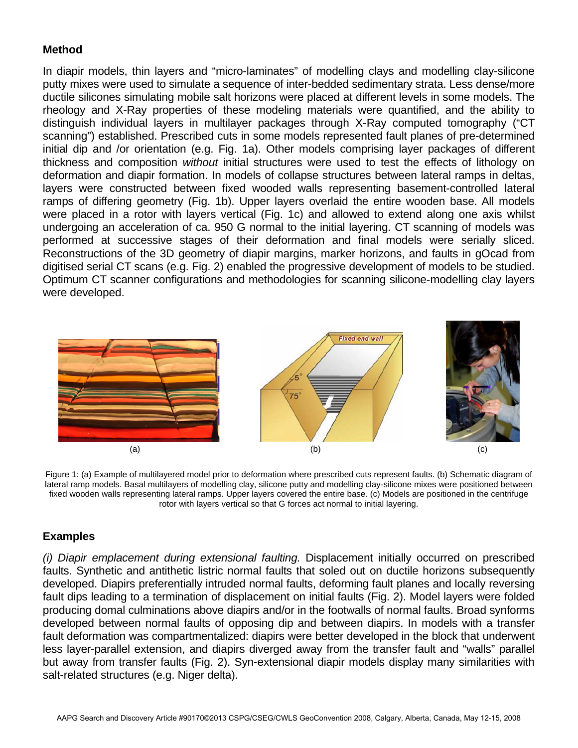# **Method**

In diapir models, thin layers and "micro-laminates" of modelling clays and modelling clay-silicone putty mixes were used to simulate a sequence of inter-bedded sedimentary strata. Less dense/more ductile silicones simulating mobile salt horizons were placed at different levels in some models. The rheology and X-Ray properties of these modeling materials were quantified, and the ability to distinguish individual layers in multilayer packages through X-Ray computed tomography ("CT scanning") established. Prescribed cuts in some models represented fault planes of pre-determined initial dip and /or orientation (e.g. Fig. 1a). Other models comprising layer packages of different thickness and composition *without* initial structures were used to test the effects of lithology on deformation and diapir formation. In models of collapse structures between lateral ramps in deltas, layers were constructed between fixed wooded walls representing basement-controlled lateral ramps of differing geometry (Fig. 1b). Upper layers overlaid the entire wooden base. All models were placed in a rotor with layers vertical (Fig. 1c) and allowed to extend along one axis whilst undergoing an acceleration of ca. 950 G normal to the initial layering. CT scanning of models was performed at successive stages of their deformation and final models were serially sliced. Reconstructions of the 3D geometry of diapir margins, marker horizons, and faults in gOcad from digitised serial CT scans (e.g. Fig. 2) enabled the progressive development of models to be studied. Optimum CT scanner configurations and methodologies for scanning silicone-modelling clay layers were developed.



Figure 1: (a) Example of multilayered model prior to deformation where prescribed cuts represent faults. (b) Schematic diagram of lateral ramp models. Basal multilayers of modelling clay, silicone putty and modelling clay-silicone mixes were positioned between fixed wooden walls representing lateral ramps. Upper layers covered the entire base. (c) Models are positioned in the centrifuge rotor with layers vertical so that G forces act normal to initial layering.

## **Examples**

*(i) Diapir emplacement during extensional faulting.* Displacement initially occurred on prescribed faults. Synthetic and antithetic listric normal faults that soled out on ductile horizons subsequently developed. Diapirs preferentially intruded normal faults, deforming fault planes and locally reversing fault dips leading to a termination of displacement on initial faults (Fig. 2). Model layers were folded producing domal culminations above diapirs and/or in the footwalls of normal faults. Broad synforms developed between normal faults of opposing dip and between diapirs. In models with a transfer fault deformation was compartmentalized: diapirs were better developed in the block that underwent less layer-parallel extension, and diapirs diverged away from the transfer fault and "walls" parallel but away from transfer faults (Fig. 2). Syn-extensional diapir models display many similarities with salt-related structures (e.g. Niger delta).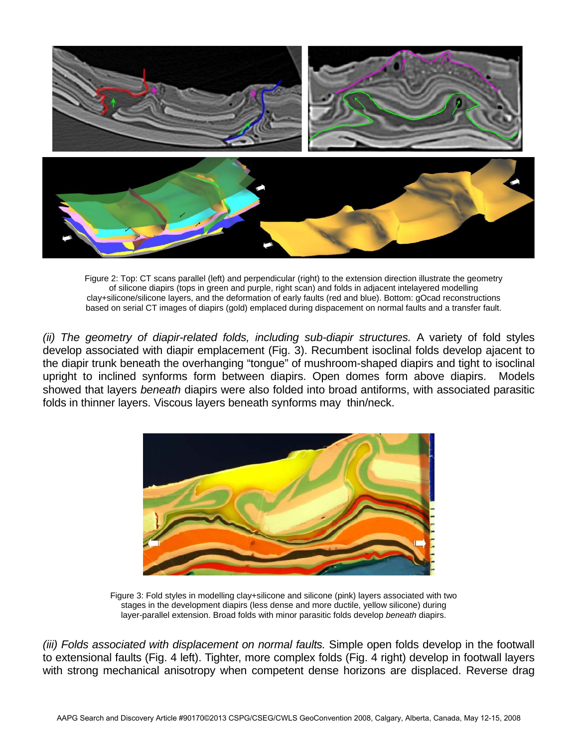

Figure 2: Top: CT scans parallel (left) and perpendicular (right) to the extension direction illustrate the geometry of silicone diapirs (tops in green and purple, right scan) and folds in adjacent intelayered modelling clay+silicone/silicone layers, and the deformation of early faults (red and blue). Bottom: gOcad reconstructions based on serial CT images of diapirs (gold) emplaced during dispacement on normal faults and a transfer fault.

*(ii) The geometry of diapir-related folds, including sub-diapir structures.* A variety of fold styles develop associated with diapir emplacement (Fig. 3). Recumbent isoclinal folds develop ajacent to the diapir trunk beneath the overhanging "tongue" of mushroom-shaped diapirs and tight to isoclinal upright to inclined synforms form between diapirs. Open domes form above diapirs. Models showed that layers *beneath* diapirs were also folded into broad antiforms, with associated parasitic folds in thinner layers. Viscous layers beneath synforms may thin/neck.



Figure 3: Fold styles in modelling clay+silicone and silicone (pink) layers associated with two stages in the development diapirs (less dense and more ductile, yellow silicone) during layer-parallel extension. Broad folds with minor parasitic folds develop *beneath* diapirs.

*(iii) Folds associated with displacement on normal faults.* Simple open folds develop in the footwall to extensional faults (Fig. 4 left). Tighter, more complex folds (Fig. 4 right) develop in footwall layers with strong mechanical anisotropy when competent dense horizons are displaced. Reverse drag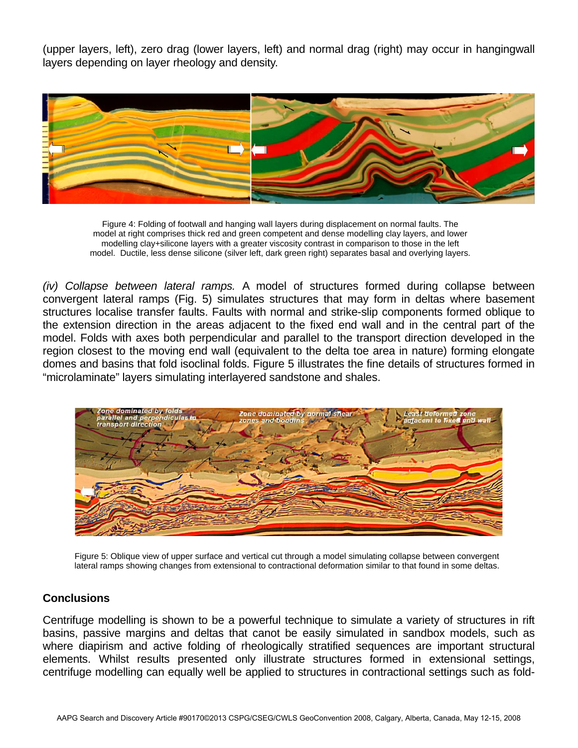(upper layers, left), zero drag (lower layers, left) and normal drag (right) may occur in hangingwall layers depending on layer rheology and density.



Figure 4: Folding of footwall and hanging wall layers during displacement on normal faults. The model at right comprises thick red and green competent and dense modelling clay layers, and lower modelling clay+silicone layers with a greater viscosity contrast in comparison to those in the left model. Ductile, less dense silicone (silver left, dark green right) separates basal and overlying layers.

*(iv) Collapse between lateral ramps.* A model of structures formed during collapse between convergent lateral ramps (Fig. 5) simulates structures that may form in deltas where basement structures localise transfer faults. Faults with normal and strike-slip components formed oblique to the extension direction in the areas adjacent to the fixed end wall and in the central part of the model. Folds with axes both perpendicular and parallel to the transport direction developed in the region closest to the moving end wall (equivalent to the delta toe area in nature) forming elongate domes and basins that fold isoclinal folds. Figure 5 illustrates the fine details of structures formed in "microlaminate" layers simulating interlayered sandstone and shales.



Figure 5: Oblique view of upper surface and vertical cut through a model simulating collapse between convergent lateral ramps showing changes from extensional to contractional deformation similar to that found in some deltas.

## **Conclusions**

Centrifuge modelling is shown to be a powerful technique to simulate a variety of structures in rift basins, passive margins and deltas that canot be easily simulated in sandbox models, such as where diapirism and active folding of rheologically stratified sequences are important structural elements. Whilst results presented only illustrate structures formed in extensional settings, centrifuge modelling can equally well be applied to structures in contractional settings such as fold